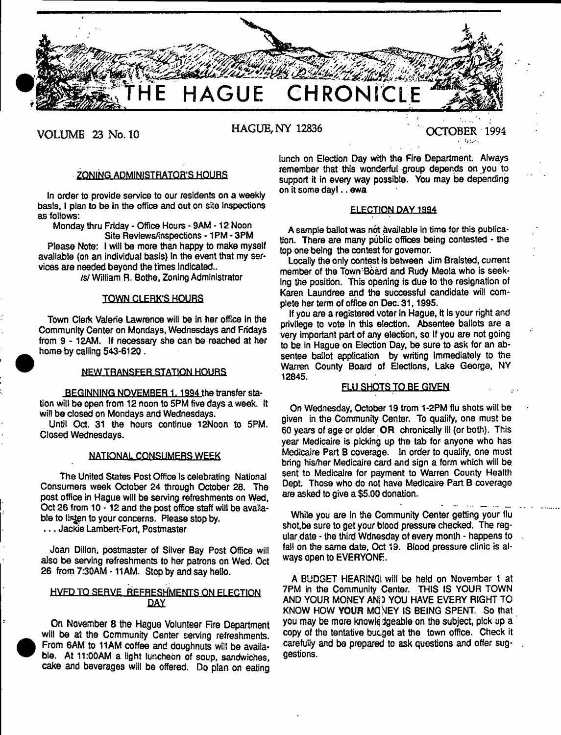

**VOLUME 23 No. 10 HAGUE, NY 12836 OCTOBER** 1994

# ZONING ADMINISTRATOR'S HOURS

In order to provide service to our residents on a weekly basis, I plan to be in the office and out on site inspections as follows:

Monday thru Friday - Office Hours - 9AM -12 Noon Site Reviews/inspections -1 PM - 3PM

Please Note: I will be more than happy to make myself available (on an individual basis) in the event that my services are needed beyond the times indicated..

/\$/ William R. Bothe, Zoning Administrator

# TOWN CLERK'S HOURS

Town Clerk Valerie Lawrence will be In her office in the Community Center on Mondays, Wednesdays and Fridays from 9 - 12AM. If necessary she can be reached at her home by calling 543-6120 .

#### **NEW TRANSFER STATION HOURS**

BEGINNING NOVEMBER 1, 1994 the transfer station will be open from 12 noon to 5PM five days a week. It wilt be closed on Mondays and Wednesdays.

Unfit Oct. 31 the hours continue 12Noon to 5PM. Closed Wednesdays.

## **NATIONAL CONSUMERS WEEK**

The United States Post Office is celebrating National Consumers week October 24 through October 28. The post office in Hague will be serving refreshments on Wed, Oct 26 from 10-12 and the post office staff will be available to listen to your concerns. Please stop by.

. . . Jackie Lambert-Fort, Postmaster

Joan Dillon, postmaster of Silver Bay Post Office will also be serving refreshments to her patrons on Wed. Oct 26 from 7:30AM - 11AM. Stop by and say hello.

# HVFD TO SERVE REFRESHMENTS ON ELECTION DAY

On November 8 the Hague Volunteer Fire Department will be at the Community Center serving refreshments. From 6AM to 11AM coffee and doughnuts will be available, At 11:00AM a light luncheon of soup, sandwiches, cake and beverages will be offered. Do plan on eating

lunch on Election Day with the Fire Department. Always remember that this wonderful group depends on you to support it in every way possible. You may be depending on it some day).. ewa

## ELECTION DAY 1994

A sample ballot was not available in time for this publication. There are many public offices being contested - the top one being the contest for governor.

Locally the only contest is between Jim Braisted, current member of the Town'Board and Rudy Meola who is seeking the position. This opening is due to the resignation of Karen Laundree and the successful candidate wilt complete her term of office on Dec. 31,1995.

If you are a registered voter in Hague, it is your right and privilege to vote In this election. Absentee ballots are a very important part of any election, so if you are not going to be in Hague on Election Day, be sure to ask for an absentee ballot application by writing immediately to the Warren County Board of Elections, Lake George, NY 12845.

# FLU SHOTS TO BE GIVEN

On Wednesday, October 19 from 1-2PM flu shots will be given in the Community Center. To qualify, one must be 60 years of age or older OR chronically ill (or both). This year Medicaire is picking up the tab for anyone who has Medicaire Part B coverage. In order to qualify, one must bring his/her Medicaire card and sign a form which will be. sent to Medicaire for payment to Warren County Health Dept. Those who do not have Medicaire Part B coverage are asked to give a \$5.00 donation.

While you are in the Community Center getting your flu shot.be sure to get your blood pressure checked. The regular date - the third Wdnesday of every month - happens to  $\sim$ fall on the same date, Oct 19. Blood pressure clinic is always open to EVERYONE.

A BUDGET HEARING will be held on November 1 at 7PM in the Community Center. THIS IS YOUR TOWN AND YOUR MONEY ANi) YOU HAVE EVERY RIGHT TO KNOW HOW YOUR MCNEY IS BEING SPENT. So that you may be more knowledgeable on the subject, pick up a copy of the tentative bucget at the town office. Check it carefully and be prepared to ask questions and offer suggestions.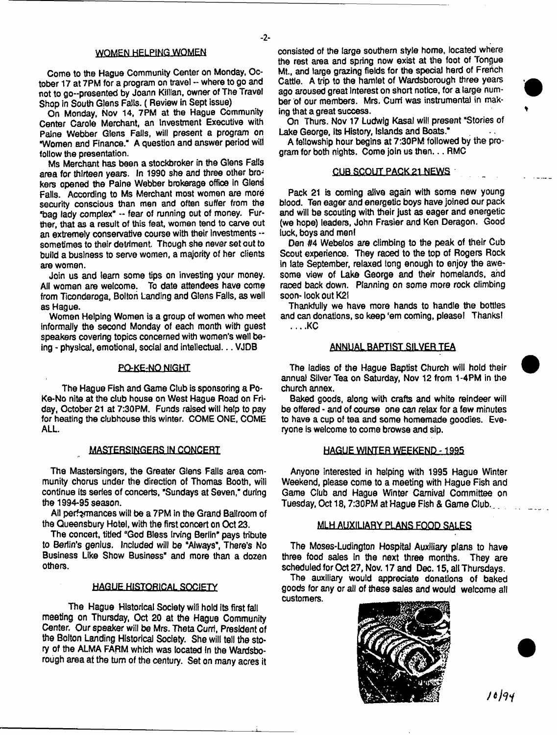## WOMEN HELPING WOMEN

Come to the Hague Community Center on Monday, October 17 at 7PM for a program on travel -- where to go and not to go-presented by Joann Killian, owner of The Travel Shop in South Glens Falls. ( Review in Sept issue)

On Monday, Nov 14, 7PM at the Hague Community Center Carole Merchant, an Investment Executive with Paine Webber Glens Falls, will present a program on "Women and Finance." A question and answer period will follow the presentation.

Ms Merchant has been a stockbroker in the Glens Falls area for thirteen years. In 1990 she and three other brokers opened the Paine Webber brokerage office in Glend Falls. According to Ms Merchant most women are more security conscious than men and often suffer from the "bag lady complex" — fear of running out of money. Further, that as a result of this feat, women tend to carve out an extremely conservative course with their Investments sometimes to their detriment. Though she never set out to build a business to serve women, a majority of her clients are women.

Join us and learn some tips on investing your money. All women are welcome. To date attendees have come from Ticonderoga, Bolton Landing and Glens Falls, as weil as Hague.

Women Helping Women is a group of women who meet informally the second Monday of each month with guest speakers covering topics concerned with women's well being - physical, emotional, social and Intellectual... VJOB

### PQ-KE-NO NIGHT

The Hague Fish and Game Club is sponsoring a Po-Ke-No nite at the club house on West Hague Road on Friday, October 21 at 7:30PM. Funds raised will help to pay for heating the clubhouse this winter. COME ONE, COME ALL.

## MASTERSINGERS IN CONCERT

The Mastersingers, the Greater Glens Falls area community chorus under the direction of Thomas Booth, wili continue its series of concerts, "Sundays at Seven," during the 1994-95 season.

Ail performances will be a 7PM in the Grand Ballroom of the Queensbury Hotel, with the first concert on Oct 23.

The concert, titled "God Bless Irving Berlin" pays tribute to Berlin's genius. Included wili be "Always", There's No Business Like Show Business" and more than a dozen others.

#### HAGUE.HISTORICAL SOCIETY

The Hague Historical Society will hold its first fall meeting on Thursday, Oct 20 at the Hague Community Center. Our speaker will be Mrs. Theta Currl, President of the Bolton Landing Historical Society. She will tell the story of the ALMA FARM which was located in the Wardsborough area af the turn of the century. Set on many acres it

consisted of the large southern style home, located where the rest area and spring now exist at the foot of Tongue Mt., and large grazing fields for the special herd of French Cattle. A trip to the hamlet of Wardsborough three years ago aroused great Interest on short notice, for a large number of our members. Mrs. Curri was instrumental in making that a great success.

On Thurs. Nov 17 Ludwig Kasai will present "Stories of Lake George, Its History, Islands and Boats."

A fellowship hour begins at 7:30PM followed by the program for both nights. Come join us then... RMC

### **CUB SCOUT PACK.2l.NEWS**

Pack 21 is coming alive again with some new young blood. Ten eager and energetic boys have joined our pack and will be scouting with their just as eager and energetic (we hope) leaders, John Frasier and Ken Deragon. Good luck, boys and men!

Den #4 Webelos are climbing to the peak of their Cub Scout experience. They raced to the top of Rogers Rock in late September, relaxed long enough to enjoy the awesome view of Lake George and their homelands, and raced back down. Planning on some more rock climbing soon- look out K2!

Thankfully we have more hands to handle the bottles and can donations, so keep 'em coming, pleasel Thanks! . .. .KC

#### **ANNUAL BAPTIST SILVER TEA**

The ladies of the Hague Baptist Church will hold their annual Silver Tea on Saturday, Nov 12 from 1-4PM in the church annex.

Baked goods, along with crafts and white reindeer will be offered - and of course one can relax for a few minutes to have a cup of tea and some homemade goodies. Everyone is welcome to come browse and sip.

## **HAGUE WINTER WEEKEND -1985**

Anyone interested in helping with 1995 Hague Winter Weekend, piease come to a meeting with Hague Fish and Game Club and Hague Winter Carnival Committee on Tuesday, Oct 18,7:30PM at Hague Fish & Game Club...

#### MLH AUXILIARY PLANS FOOD SALES

The Moses-Ludington Hospital Auxiliary plans to have three food sales In the next three months. They are scheduled for Oct 27, Nov. 17 and Dec. 15, all Thursdays,

The auxiliary would appreciate donations of baked goods for any or all of these sales and would welcome all customers.



*ft h i*

- **2**-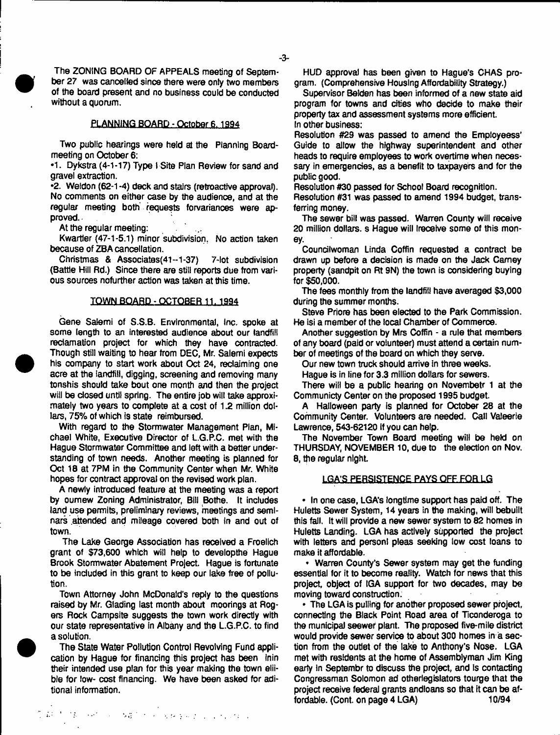The ZONING BOARD OF APPEALS meeting of September 27 was cancelled since there were only two members of the board present and no business could be conducted without a quorum.

## PLANNING BOARD - October 6.1994

Two public hearings were held at the Planning Boardmeeting on October 6:

•1. Dykstra (4-1-17) Type I Site Plan Review for sand and gravel extraction.

•2. Weldon (62-1 -4) deck and stairs (retroactive approval). No comments on either case by the audience, and at the regular meeting both requests forvariances were approved.

At the regular meeting:

Kwartler (47-1-5.1) minor subdivision. No action taken because of ZBA cancellation.

Christmas & Associates(4i-1-37) 7-lot subdivision (Battle Hill Rd.) Since there are still reports due from various sources nofurther action was taken at this time.

#### TOWN BOARD - OCTOBER 11. 1994

Gene Salemi of S.S.B. Environmental, Inc. spoke at some length to an interested audience about our landfill reclamation project for which they have contracted. Though still waiting to hear from DEC, Mr. Salemi expects his company to start work about Oct 24, reclaiming one acre at the landfill, digging, screening and removing many tonshis should take bout one month and then the project will be closed until spring. The entire job will take approximately two years to complete at a cost of 1.2 million dollars, 75% of which is state reimbursed.

With regard to the Stormwater Management Plan, Michael White, Executive Director of L.G.P.C. met with the Hague Stormwater Committee and left with a better understanding of town needs. Another meeting is planned for Oct 18 at 7PM in the Community Center when Mr. White hopes for contract approval on the revised work plan.

A newly introduced feature at the meeting was a report by oumew Zoning Administrator, Bill Bothe. It includes land use permits, preliminary reviews, meetings and seminars attended and mileage covered both in and out of town.

The Lake George Association has received a Froelich grant of \$73,600 which will help to developthe Hague Brook Stormwater Abatement Project. Hague is fortunate to be included in this grant to keep our lake free of pollution.

Town Attorney John McDonald's reply to the questions raised by Mr. Glading last month about moorings at Rogers Rock Campsite suggests the town work directly with our state representative in Albany and the L.G.P.C. to find a solution.

The State Water Pollution Control Revolving Fund application by Hague for financing this project has been Inin their intended use plan for this year making the town eliible for low- cost financing. We have been asked for aditional information.

HUD approval has been given to Hague's CHAS program. (Comprehensive Housing Affordability Strategy.)

Supervisor Belden has been informed of a new state aid program for towns and cities who decide to make their property tax and assessment systems more efficient. In other business:

Resolution #29 was passed to amend the Employeess' Guide to allow the highway superintendent and other heads to require employees to work overtime when necessary in emergencies, as a benefit to taxpayers and for the public good.

Resolution #30 passed for School Board recognition.

Resolution #31 was passed to amend 1994 budget, transferring money.

The sewer bill was passed. Warren County will receive 20 million dollars, s Hague will freceive some of this money.

Counciiwoman Linda Coffin requested a contract be drawn up before a decision is made on the Jack Carney property (sandpit on Rt 9N) the town is considering buying for \$50,000.

The fees monthly from the landfill have averaged \$3,000 during the summer months.

Steve Priore has been elected to the Park Commission. He Isi a member of the local Chamber of Commerce.

Another suggestion by Mrs Coffin - a rule that members of any board (paid or volunteer) must attend a certain number of meetings of the board on which they serve.

Our new town truck should arrive in three weeks.

Hague is in line for 3.3 million dollars for sewers.

There will be a public hearing on Novembetr 1 at the Communicty Center on the proposed 1995 budget.

A Halloween party is planned for October 28 at the Community Center. Volunteers are needed. Call Valeerie Lawrence, 543-62120 if you can help.

The November Town Board meeting will be held on THURSDAY, NOVEMBER 10, due to the election on Nov, 8, the regular night

### **LGA'S PERSISTENCE PAYS QFF.EQa LG**

• In one case, LGA's longtime support has paid off. The Huletts Sewer System, 14 years in the making, will bebullt this fall, it will provide a new sewer system to 82 homes in Huletts Landing. LGA has actively supported the project with letters and person! pleas seeking low cost loans to make it affordable.

• Warren County's Sewer system may get the funding essential for it to become reality. Watch for news that this project, object of IGA support for two decades, may be moving toward construction.

• The LGA is pulling for another proposed sewer project, connecting the Black Point Road area of Ticonderoga to the municipal seewer plant. The proposed five-mile district would provide sewer service to about 300 homes in a section from the outlet of the lake to Anthony's Nose. LGA met with residents at the home of Assemblyman Jim King earty in Septembr to discuss the project, and Is contacting Congressman Solomon ad other legislators to urge that the project receive federal grants andloans so that it can be affordable. (Cont. on page 4 LGA) 10/94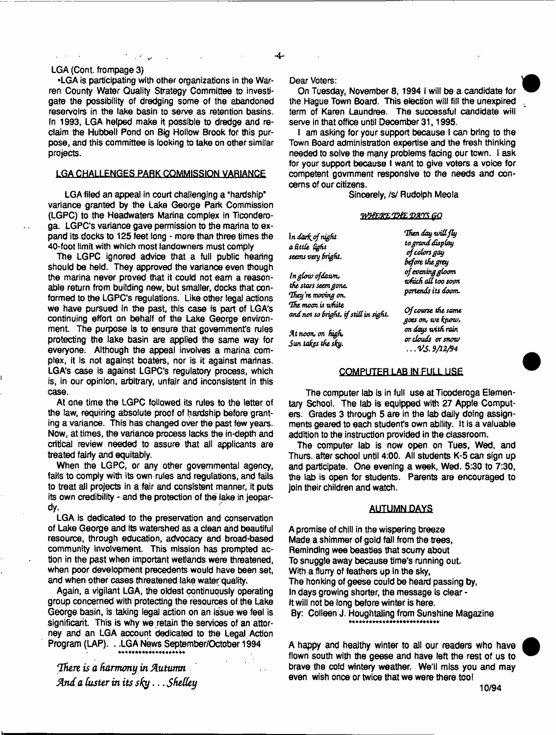## LGA (Cont. frompage 3)

•LGA is participating with other organizations in the Warren County Water Quality Strategy Committee to investigate the possibility of dredging some of the abandoned reservoirs in the lake basin to serve as retention basins. In 1993, LGA helped make it possible to dredge and reclaim the Hubbell Pond on Big Hollow Brook for this purpose, and this committee is looking to take on other similar projects.

## LGA CHALLENGES PARK COMMISSION VARIANCE

LGA filed an appeal in court challenging a "hardship" variance granted by the Lake George Park Commission (LGPC) to the Headwaters Marina complex in Ticonderoga. LGPC's variance gave permission to the marina to expand its docks to 125 feet long - more than three times the 40-foot limit with which most landowners must comply

The LGPC ignored advice that a full public hearing should be held. They approved the variance even though the marina never proved that it could not eam a reasonable return from building new, but smaller, docks that conformed to the LGPC's regulations. Like other legal actions we have pursued In the past, this case is part of LGA's continuing effort on behalf of the Lake George environment. The purpose is to ensure that government's rules protecting the lake basin are applied the same way for everyone. Although the appeal involves a marina complex, it is not against boaters, nor is it against marinas. LGA's case is against LGPC's regulatory process, which is, in our opinion, arbitrary, unfair and inconsistent in this case.

At one time the LGPC followed its rules to the letter of the law, requiring absolute proof of hardship before granting a variance. This has changed over the past few years. Now, at times, the variance process lacks the in-depth and critical review needed to assure that all applicants are treated fairly and equitably.

When the LGPC, or any other governmental agency, fails to comply with its own rules and regulations, and fails to treat all projects in a fair and consistent manner, it puts its own credibility - and the protection of the lake in jeopardy.

LGA is dedicated to the preservation and conservation of Lake George and its watershed as a clean and beautiful resource, through education, advocacy and broad-based community involvement. This mission has prompted action in the past when important wetlands were threatened, when poor development precedents would have been set, and when other cases threatened lake water quality.

Again, a vigilant LGA, the oldest continuously operating group concerned with protecting the resources of the Lake George basin, is taking legal action on an issue we feel is significant. This is why we retain the services of an attorney and an LGA account dedicated to the Legal Action Program (LAP). . .LGA News September/October 1994

*There is a harmony in Autumn And a luster in its sky*.. *.Sksttey*

#### Dear Voters:

On Tuesday, November 8,1994 I will be a candidate for the Hague Town Board. This election will fill the unexpired term of Karen Laundree. The successful candidate will serve in that office until December 31, 1995.

I am asking for your support because I can bring to the Town Board administration expertise and the fresh thinking needed to solve the many problems facing our town. I ask for your support because I want to give voters a voice for competent govmment responsive to the needs and concerns of our citizens.

Sincerely, /s/ Rudolph Meola

#### *'M feX E 'B iE 'D A 'YSQ O*

| In dark of night                                           | Then day will fly                       |
|------------------------------------------------------------|-----------------------------------------|
| a little  light                                            | to grand display                        |
| seems very bright.                                         | of colors gay<br>before the grey        |
| In glow ofdawn,                                            | of evening gloom                        |
| the stars seem gone.                                       | ariich all too soon                     |
| They're moving on.                                         | portends its doom.                      |
| The moon is white<br>and not so bright, if still in sight. | Of course the same<br>goes on, we know, |
| At noon, on high,<br>Sun takes the sky.                    | on days with rain<br>or clouds or snow  |
|                                                            | . V.S. 9/12/94                          |

## COMPUTER LAB IN FULL USE

The computer lab is in full use at Ticoderoga Elementary School. The lab is equipped with 27 Apple Computers. Grades 3 through 5 are in the tab daily doing assignments geared to each student's own ability. It is a valuable addition to the instruction provided in the classroom.

The computer lab is now open on Tues, Wed, and Thurs. after school until 4:00. All students K-5 can sign up and participate. One evening a week, Wed. 5:30 to 7:30, the iab is open for students. Parents are encouraged to join their children and watch.

# AUTUMN DAYS

A promise of chill in the wispering breeze Made a shimmer of gold fall from the trees, Reminding wee beasties that scurry about To snuggle away because time's running out. With a flurry of feathers up in the sky, The honking of geese could be heard passing by, In days growing shorter, the message is clear - It will not be long before winter is here. By: Colleen J. Houghtaling from Sunshine Magazine

A happy and healthy winter to all our readers who have flown south with the geese and have left the rest of us to brave the cold wintery weather. We'll miss you and may even wish once or twice that we were there too!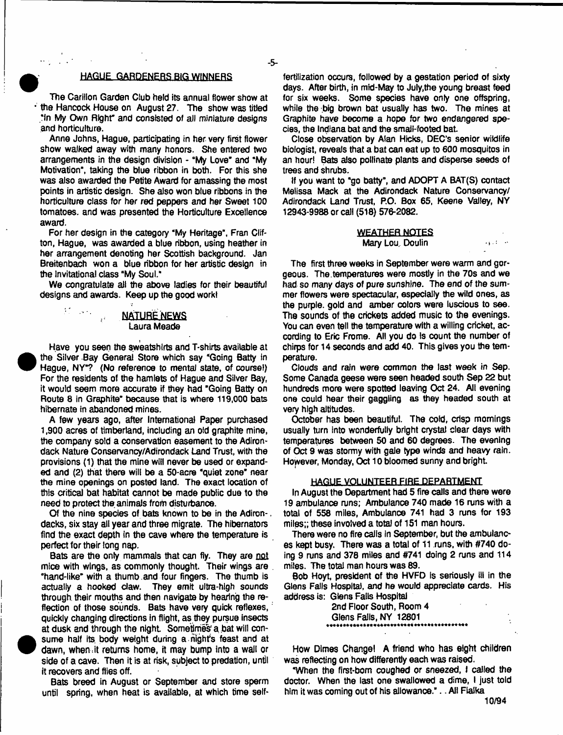## HAGUE GARDENERS BIG WINNERS

The Carillon Garden Club held its annual flower show at the Hancock House on August 27. The show was titled "In My Own Right" and consisted of all miniature designs and horticulture.

Anne Johns, Hague, participating in her very first flower show walked away with many honors. She entered two arrangements in the design division - "My Love" and "My Motivation", taking the blue ribbon in both. For this she was also awarded the Petite Award for amassing the most points in artistic design. She also won blue ribbons in the horticulture class for her red peppers and her Sweet 100 tomatoes, and was presented the Horticulture Excellence award.

For her design in the category "My Heritage", Fran Clifton, Hague, was awarded a blue ribbon, using heather in her arrangement denoting her Scottish background. Jan Breitenbach won a blue ribbon for her artistic design in the invitational class "My Soul."

We congratulate all the above ladies for their beautiful designs and awards. Keep up the good work!

# NATURE NEWS Laura Meade



 $\sim 10^{12}$ 

 $\pm 1$ 

Have you seen the sweatshirts and T-shirts available at the Silver Bay General Store which say "Going Batty in Hague, NY"? (No reference to mental state, of course!) For the residents of the hamlets of Hague and Silver Bay, it would seem more accurate if they had "Going Batty on Route 8 in Graphite" because that is where 119,000 bats hibernate in abandoned mines.

A few years ago, after International Paper purchased 1,900 acres of timberland, including an ofd graphite mine, the company sold a conservation easement to the Adirondack Nature Conservancy/Adirondack Land Trust, with the provisions (1) that the mine will never be used or expanded and (2) that there will be a 50-acre 'quiet zone" near the mine openings on posted land. The exact location of this critical bat habitat cannot be made public due to the need to protect the animals from disturbance.

Of the nine species of bats known to be in the Adiron-. dacks, six stay all year and three migrate. The hibernators find the exact depth in the cave where the temperature is perfect for their long nap.

Bats are the only mammals that can fly. They are not mice with wings, as commonly thought. Their wings are . "hand-like" with a thumb.and four fingers. The thumb is actually a hooked claw. They emit ultra-high sounds through, their mouths and then navigate by hearing the reflection of those sounds. Bats have very quick reflexes, quickly changing directions in flight, as they pursue insects at dusk and through the night. Sometimes a bat will consume half its body weight during a night's feast and at dawn, when it returns home, it may bump into a wall or side of a cave. Then it is at risk, subject to predation, until it recovers and flies off.

Bats breed in August or September and store sperm until spring, when heat is available, at which time self-

fertifization occurs, followed by a gestation period of sixty days. After birth, in mid-May to July,the young breast feed for six weeks. Some species have only one offspring, while the big brown bat usually has two. The mines at Graphite have become a hope for two endangered species, the Indiana bat and the small-footed bat.

Close observation by Alan Hicks, DEC'S senior wildlife biologist, reveals that a bat can eat up to 600 mosquitos in an hour! Bats also pollinate plants and disperse seeds of trees and shrubs.

tf you want to "go batty", and ADOPT A BAT(S) contact Melissa Mack at the Adirondack Nature Conservancy/ Adirondack Land Trust, P.O. Box 65, Keene Valley, NY 12943-9988 or call (518) 576-2082.

#### **WEATHER NOTES** Mary Lou, Doulin and a state of the Mary Lou, Doulin

The first three weeks in September were warm and gorgeous. The.temperatures were mostly in the 70s and we had so many days of pure sunshine. The end of the summer flowers were spectacular, especially the wild ones, as the purple, gold and amber colors were luscious to see. The sounds of the crickets added music to the evenings. You can even tell the temperature with a willing cricket, according to Eric Frome. All you do is count the number of chirps for 14 seconds and add 40. This gives you the temperature.

Clouds and rain were common the last week in Sep. Some Canada geese were seen headed south Sep 22 but hundreds more were spotted leaving Oct 24. All evening one could hear their gaggling as they headed south at very high altitudes.

October has been beautiful. The cold, crisp mornings usually turn into wonderfully bright crystal clear days with temperatures between 50 and 60 degrees. The evening of Oct 9 was stormy with gale type winds and heavy rain. However, Monday, Oct 10 bloomed sunny and bright.

#### HAGUE VOLUNTEER FIRE DEPARTMENT

In August the Department had 5 fire calls and there were 19 ambulance runs; Ambulance 740 made 16 runs with a total of 558 miles, Ambulance 741 had 3 runs for 193 miles;; these involved a total of 151 man hours.

There were no fire calls in September, but the ambulances kept busy. There was a total of 11 runs, with #740 doing 9 runs and 378 miles and #741 doing 2 runs and 114 miles. The total man hours was 69.

Bob Hoyt, president of the HVFD is seriously ill in the Glens Falls Hospital, and he would appreciate cards. His address is: Glens Falls Hospital

> 2nd Floor South, Room 4 Glens Falls, NY 12801

How Dimes Change! A friend who has eight children was reflecting on how differently each was raised.

"When the first-bom coughed or sneezed, I called the doctor. When the last one swallowed a dime, I just told him it was coming out of his allowanoe.".. All Flalka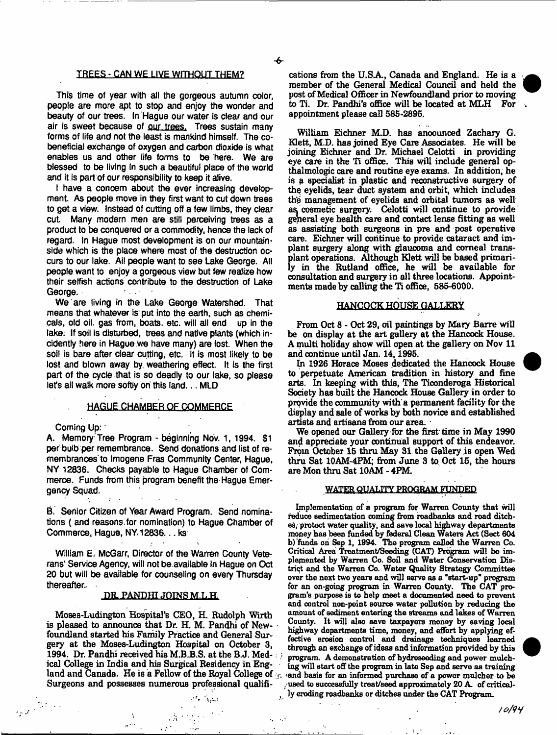### TREES - CAN WE LIVE WITHOUT THEM?

This time of year with all the gorgeous autumn color, people are more apt to stop and enjoy the wonder and beauty of our trees. In Hague our water is clear and our air is sweet because of our trees. Trees sustain many forms of life and not the least is mankind himself. The cobeneficial exchange of oxygen and carbon dioxide is what enables us and other life forms to be here. We are blessed to be living in such a beautiful place of the world and it is part of our responsibility to keep it alive.

t have a concern about the ever increasing development As people move in they first want to cut down trees to get a view. Instead of cutting off a few limbs, they clear cut. Many modern men are still perceiving trees as a product to be conquered or a commodity, hence the lack of regard, in Hague most development is on our mountainside which is the place where most of the destruction occurs to our lake. Ail people want to see Lake George. All people want to enjoy a gorgeous view but few realize how their selfish actions contribute to the destruction of Lake George.

We are living in the Lake George Watershed. That means that whatever is put into the earth, such as chemicals, old oil. gas from, boats, etc. will all end up in the lake: If soil is disturbed, trees and native plants (which incidentiy here in Hague.we have many) are lost. When the soil is bare after ciear cutting, etc. it is most likely to be lost and blown away by. weathering effect. It is the first part of the cycle that is so deadly to our take, so please let's all walk more softly on this land... MLD

# HAGUE CHAMBER OF COMMERCE

Coming Up:

 $\frac{1}{2\pi\epsilon^2}\int_{0}^{\frac{\pi}{2}}\frac{d\omega}{\omega^2}d\omega\,d\omega.$ 

A. Memory Tree Program - beginning Nov. 1, 1994. \$1 per bulb per remembrance. Send donations and list of remembrances'to Imogene Fras Community Center, Hague, NY 12836. Checks payable to Hague Chamber of Commerce. Funds from this program benefit the Hague Emergency Squad.

B. Senior Citizen of Year Award Program. Send nominations ( and reasons for nomination) to Hague Chamber of Commerce, Hague, NY. 12836... ks

William E, McGarr, Director of the Warren County Veterans' Service Agency, will not be available in Hague on Oct 20 but will be available for counseling on every Thursday thereafter.

### DR. PANDHI JOINS M.L.H.

Moses-Ludington Hospital's CEO, H. Rudolph Wirth is pleased to announce that Dr. H. M. Pandhi of Newfoundland started his Family Practice and General Surgery at the Moses-Ludington Hospital on October 3, 1994. Dr. Pandhi received his M.B.B.S. at the B.J. Medical College in India and his Surgical Residency in England and Canada. He is a Fellow of the Royal College of  $\gamma$ . Surgeons and possesses numerous professional qualifi-

 $\frac{A}{\mu\hbar\omega_{\mu\nu}}=-\frac{\partial\tilde{A}}{\partial\omega_{\mu\nu}}\frac{\partial\tilde{A}}{\partial\omega_{\mu\nu}}\frac{\partial\tilde{A}}{\partial\omega_{\mu\nu}}\,.$ 

 $\mathcal{Q}=\mathcal{Q}(\mathcal{I})$ 

cations from the U.SA, Canada and England. He is a member of the General Medical Council and held the post of Medical Officer in Newfoundland prior to moving to Ti. Dr, Pandhi's office will be located at MLH For appointment please call 585-2895.

William Eichner M.D. has anoounced Zachary G. Klett, M.D. has joined Eye Care Assodates. He will be joining Eichner and Dr. Michael Celotti in providing eye care in the Ti office. This will include general opthalmologic care and routine eye exams. In addition, he is a specialist in plastic and reconstructive surgery of the eyelids, tear duct system and orbit, which includes the management of eyelids and orbital tumors aa well as cosmetic surgery. Celotti will continue to provide general eye health care and contact lense fitting as well as assisting both surgeons in pre and post operative care. Eichner will continue to provide cataract and implant surgery along with glaucoma and corneal transplant operations. Although Klett will be based primarily in the Rutland office, he will be available for consultation and surgery in all three locations. Appointments made by calling the Ti office, 585-6000.

### HANCOCK HOUSE GALLERY

From Oct 8 - Oct 29, oil paintings by Mary Barre will be on display at the art gallery at the Hancock House. A multi holiday show will open at the gallery on Nov 11 and continue until Jan. 14,1995.

In 1926 Horace Moses dedicated the Hancock House to perpetuate American tradition in history and fine arts. In keeping with this, The Ticonderoga Historical Society has built the Hancock House Gallery in order to provide the community with'a permanent facility for the display and sale of works by both novice and established artists and artisans from our area.

We opened our Gallery for the first time in May 1990 and appreciate your continual support of this endeavor. From October 15 thru May 31 the Gallery is open Wed thru Sat 10AM-4FM; from June 3 to Oct 15, the hours are Mon thru Sat 10AM - 4FM.

# WATER QUALITY PROGRAM FUNDED

Implementation of a program for Warren County that will reduce sedimentation coming from roadbanks and road ditches, protect water quality, and save local highway departments money haB been funded by federal Clean Waters Act (Sect 604 b) funds on Sep 1, 1994. The program called the Warren Co. Critical Area Treatment/Seeding (CAT) Program will be implemented by Warren Co. Soil and Water Conservation District and the Warren Co. Water Quality Strategy Committee over the next two years and will serve as a "start-up" program for an on-going program in Warren County. The CAT program's purpose ie to help meet a documented need to prevent and control non-point source water pollution by reducing the amount of sediment entering the streams and lakes of Warren County. It will also save taxpayers money by saving local highway departments time, money, and effort by applying effective erosion control and drainage techniques learned through an exchange of ideas and information provided by this program. A demonstration of hydroseeding and power mulching will start off the program in late Sep and serve as training and basis for an informed purchase of a power mulcher to be .used to successfully treat/seed approximately 20 A. of critical- , ly eroding roadbanks or ditches under the CAT Program.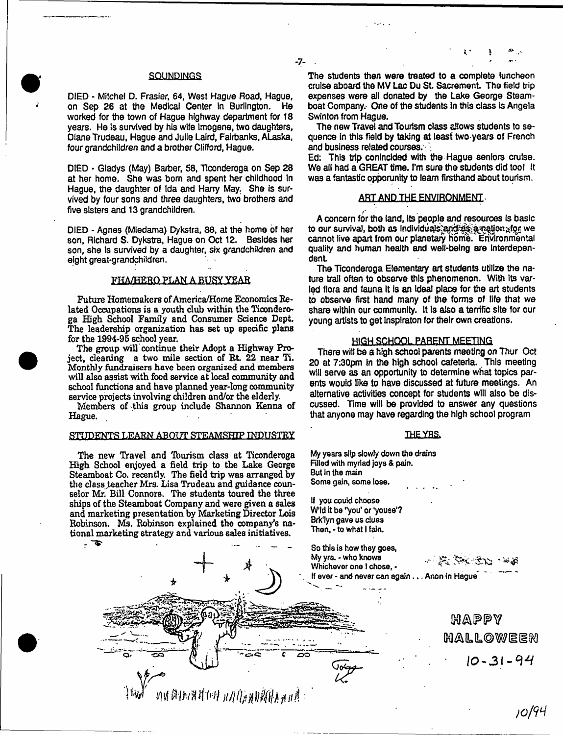# **SQUNDINGS**

DIED - Mitchel D. Frasier, 64, West Hague Road, Hague, on Sep 26 at the Medical Center in Burlington. He worked for the town of Hague highway department for 18 years. He is survived by his wife Imogens, two daughters, Diane Trudeau, Hague and Julie Laird, Fairbanks, Alaska, *four* grandchildren and a brother Clifford, Hague.

DIED \* Gladys (May) Barber, 58, Ticonderoga on Sep 28 at her home. She was bom and spent her childhood In Hague, the daughter of Ida and Harry May. She is survived by four sons and three daughters, two brothers and five sisters and 13 grandchildren.

DIED - Agnes (Miedama) Dykstra, 88, at the home of her son, Richard S. Dykstra, Hague on Oct 12. Besides her son, she is survived by a daughter, six grandchildren and eight great-grandchiidren.

#### FHA/HERO PLAN A BUSY YEAR

Future Homemakers of America/Home Economics Related Occupations is a youth club within the Ticonderoga High School Family and Consumer Science Dept. The leadership organization has set up specific plans for the 1994-95 school year.

The group will continue their Adopt a Highway Project, cleaning a two mile section of Rt.  $22$  near Ti. Monthly fundraisers have been organized and members will also assist with food service at local community and school functions and have planned year-long community service projects involving children and/or the elderly.

Members of this group include Shannon Kenna of Hague.

#### STUDENTS LEARN ABOUT STEAMSHIP INDUSTRY

The new Travel and Tburism class at Ticonderoga High School enjoyed a field trip to the Lake George Steamboat Co. recently. The field trip was arranged by the class teacher Mrs. Lisa Trudeau and guidance counselor Mr. Bill Connors. The students toured the three ships of the Steamboat Company and were given a sales and marketing presentation by Marketing Director Lois Robinson. Ms. Robinson explained the company's national marketing strategy and various sales initiatives.

- - . . \_

AN ADARTAH BAUSHINIARAN

The students then were treated to a complete luncheon cruise aboard the MV Lac Du St. Sacrement. The field trip expenses were all donated by the Lake George Steamboat Company. One of the students In this class Is Angela Swinton from Hague.

- **7**-

The new Travel and Tourism class allows students to sequence in this field by taking at least two years of French and business related courses.

Ed; This trip conlncided with the Hague seniors cruise. We alt had a GREAT time. I'm sure the students did tool It was a fantastic opporunfty to learn firsthand about tourism.

## ART AND THE ENVIRONMENT.

A concern for the (and, its people and resources is basic to our survival, both as individuals and as a nation for we cannot live apart from our planetary home. Environmental quality and human health and well-being are Interdependent

The Ticonderoga Elementary art students utilize the nature trail often to observe this phenomenon. With Its varied flora and fauna it is an Ideal place for the art students to observe first hand many of the forms of life that we share within our community. It Is also a terrific site for our young artists to get inspiraton for their own creations.

### **HIGH SCHOOL,PABEOT MEETING**

There wiil be a high school parents meeting on Thur Oct 20 at 7:30pm In the high school cafeteria. This meeting will serve as an opportunity to determine what topics parents would like to have discussed at future meetings. An alternative activities concept for students will also be discussed. Time will be provided to answer any questions that anyone may have regarding the high school program

#### **THE YBS.**

My years slip slowly down the drains Filled with myriad joys & pain. But In the main Some gain, some lose.

If you could choose W'ld it be "you' or 'youse'? Brk'lyn gave us clues Then,-to what I fain.

٥

So this is how they goes, My yrs. - who knows Whichever one I chose, • If ever - and never can again. . . Anon In Hague

 $-2\pi$  ,  $2\pi$  ,  $2\pi$ 

Happy **H A IL IL O W ilK l** $10 - 31 - 94$